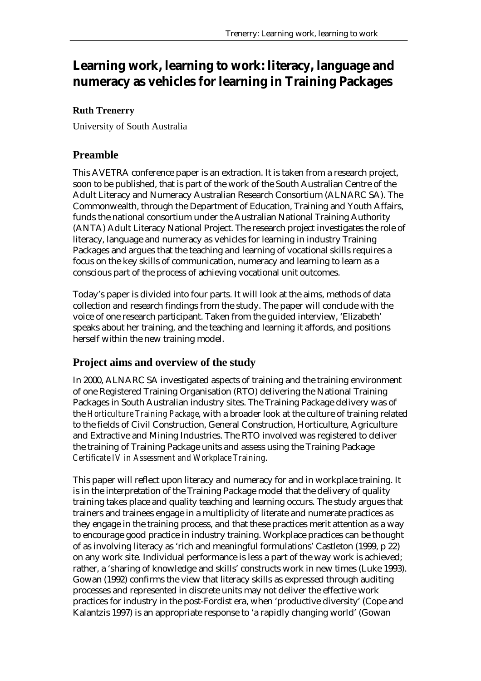# **Learning work, learning to work: literacy, language and numeracy as vehicles for learning in Training Packages**

# **Ruth Trenerry**

University of South Australia

# **Preamble**

This AVETRA conference paper is an extraction. It is taken from a research project, soon to be published, that is part of the work of the South Australian Centre of the Adult Literacy and Numeracy Australian Research Consortium (ALNARC SA). The Commonwealth, through the Department of Education, Training and Youth Affairs, funds the national consortium under the Australian National Training Authority (ANTA) Adult Literacy National Project. The research project investigates the role of literacy, language and numeracy as vehicles for learning in industry Training Packages and argues that the teaching and learning of vocational skills requires a focus on the key skills of communication, numeracy and learning to learn as a conscious part of the process of achieving vocational unit outcomes.

Today's paper is divided into four parts. It will look at the aims, methods of data collection and research findings from the study. The paper will conclude with the voice of one research participant. Taken from the guided interview, 'Elizabeth' speaks about her training, and the teaching and learning it affords, and positions herself within the new training model.

# **Project aims and overview of the study**

In 2000, ALNARC SA investigated aspects of training and the training environment of one Registered Training Organisation (RTO) delivering the National Training Packages in South Australian industry sites. The Training Package delivery was of the *Horticulture Training Package*, with a broader look at the culture of training related to the fields of Civil Construction, General Construction, Horticulture, Agriculture and Extractive and Mining Industries. The RTO involved was registered to deliver the training of Training Package units and assess using the Training Package *Certificate IV in Assessment and Workplace Training*.

This paper will reflect upon literacy and numeracy for and in workplace training. It is in the interpretation of the Training Package model that the delivery of quality training takes place and quality teaching and learning occurs. The study argues that trainers and trainees engage in a multiplicity of literate and numerate practices as they engage in the training process, and that these practices merit attention as a way to encourage good practice in industry training. Workplace practices can be thought of as involving literacy as 'rich and meaningful formulations' Castleton (1999, p 22) on any work site. Individual performance is less a part of the way work is achieved; rather, a 'sharing of knowledge and skills' constructs work in new times (Luke 1993). Gowan (1992) confirms the view that literacy skills as expressed through auditing processes and represented in discrete units may not deliver the effective work practices for industry in the post-Fordist era, when 'productive diversity' (Cope and Kalantzis 1997) is an appropriate response to 'a rapidly changing world' (Gowan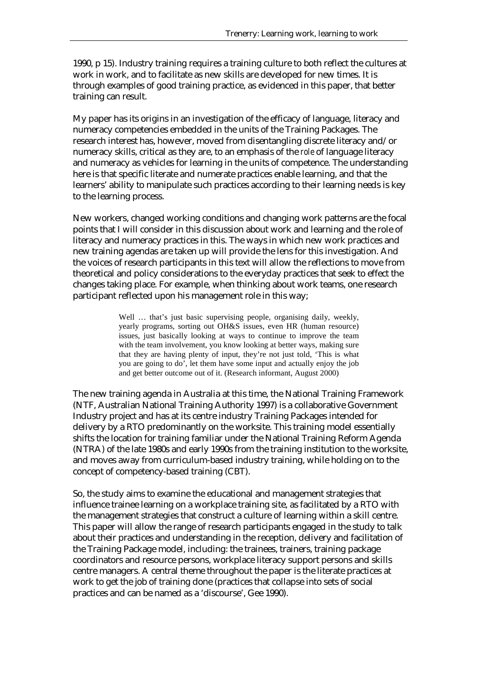1990, p 15). Industry training requires a training culture to both reflect the cultures at work in work, and to facilitate as new skills are developed for new times. It is through examples of good training practice, as evidenced in this paper, that better training can result.

My paper has its origins in an investigation of the efficacy of language, literacy and numeracy competencies embedded in the units of the Training Packages. The research interest has, however, moved from disentangling discrete literacy and/or numeracy skills, critical as they are, to an emphasis of the *role* of language literacy and numeracy as vehicles for learning in the units of competence. The understanding here is that specific literate and numerate practices enable learning, and that the learners' ability to manipulate such practices according to their learning needs is key to the learning process.

New workers, changed working conditions and changing work patterns are the focal points that I will consider in this discussion about work and learning and the role of literacy and numeracy practices in this. The ways in which new work practices and new training agendas are taken up will provide the lens for this investigation. And the voices of research participants in this text will allow the reflections to move from theoretical and policy considerations to the everyday practices that seek to effect the changes taking place. For example, when thinking about work teams, one research participant reflected upon his management role in this way;

> Well ... that's just basic supervising people, organising daily, weekly, yearly programs, sorting out OH&S issues, even HR (human resource) issues, just basically looking at ways to continue to improve the team with the team involvement, you know looking at better ways, making sure that they are having plenty of input, they're not just told, 'This is what you are going to do', let them have some input and actually enjoy the job and get better outcome out of it. (Research informant, August 2000)

The new training agenda in Australia at this time, the National Training Framework (NTF, Australian National Training Authority 1997) is a collaborative Government Industry project and has at its centre industry Training Packages intended for delivery by a RTO predominantly on the worksite. This training model essentially shifts the location for training familiar under the National Training Reform Agenda (NTRA) of the late 1980s and early 1990s from the training institution to the worksite, and moves away from curriculum-based industry training, while holding on to the concept of competency-based training (CBT).

So, the study aims to examine the educational and management strategies that influence trainee learning on a workplace training site, as facilitated by a RTO with the management strategies that construct a culture of learning within a skill centre. This paper will allow the range of research participants engaged in the study to talk about their practices and understanding in the reception, delivery and facilitation of the Training Package model, including: the trainees, trainers, training package coordinators and resource persons, workplace literacy support persons and skills centre managers. A central theme throughout the paper is the literate practices at work to get the job of training done (practices that collapse into sets of social practices and can be named as a 'discourse', Gee 1990).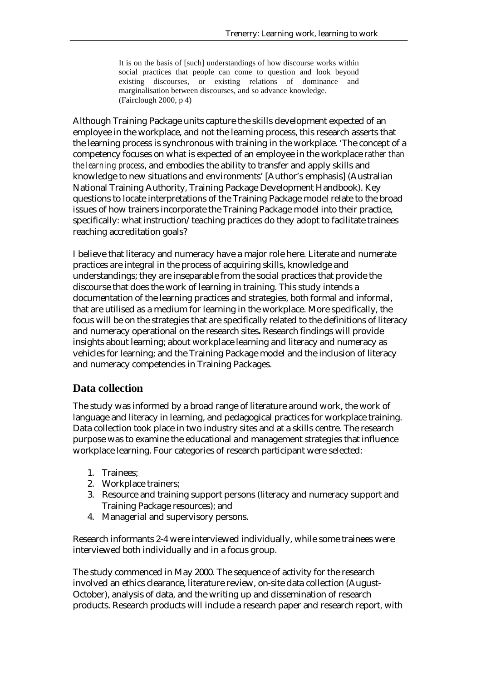It is on the basis of [such] understandings of how discourse works within social practices that people can come to question and look beyond existing discourses, or existing relations of dominance and marginalisation between discourses, and so advance knowledge. (Fairclough 2000, p 4)

Although Training Package units capture the skills development expected of an employee in the workplace, and not the learning process, this research asserts that the learning process is synchronous with training in the workplace. 'The concept of a competency focuses on what is expected of an employee in the workplace *rather than the learning process*, and embodies the ability to transfer and apply skills and knowledge to new situations and environments' [Author's emphasis] (Australian National Training Authority, Training Package Development Handbook). Key questions to locate interpretations of the Training Package model relate to the broad issues of how trainers incorporate the Training Package model into their practice, specifically: what instruction/teaching practices do they adopt to facilitate trainees reaching accreditation goals?

I believe that literacy and numeracy have a major role here. Literate and numerate practices are integral in the process of acquiring skills, knowledge and understandings; they are inseparable from the social practices that provide the discourse that does the work of learning in training. This study intends a documentation of the learning practices and strategies, both formal and informal, that are utilised as a medium for learning in the workplace. More specifically, the focus will be on the strategies that are specifically related to the definitions of literacy and numeracy operational on the research sites**.** Research findings will provide insights about learning; about workplace learning and literacy and numeracy as vehicles for learning; and the Training Package model and the inclusion of literacy and numeracy competencies in Training Packages.

# **Data collection**

The study was informed by a broad range of literature around work, the work of language and literacy in learning, and pedagogical practices for workplace training. Data collection took place in two industry sites and at a skills centre. The research purpose was to examine the educational and management strategies that influence workplace learning. Four categories of research participant were selected:

- 1. Trainees;
- 2. Workplace trainers;
- 3. Resource and training support persons (literacy and numeracy support and Training Package resources); and
- 4. Managerial and supervisory persons.

Research informants 2-4 were interviewed individually, while some trainees were interviewed both individually and in a focus group.

The study commenced in May 2000. The sequence of activity for the research involved an ethics clearance, literature review, on-site data collection (August-October), analysis of data, and the writing up and dissemination of research products. Research products will include a research paper and research report, with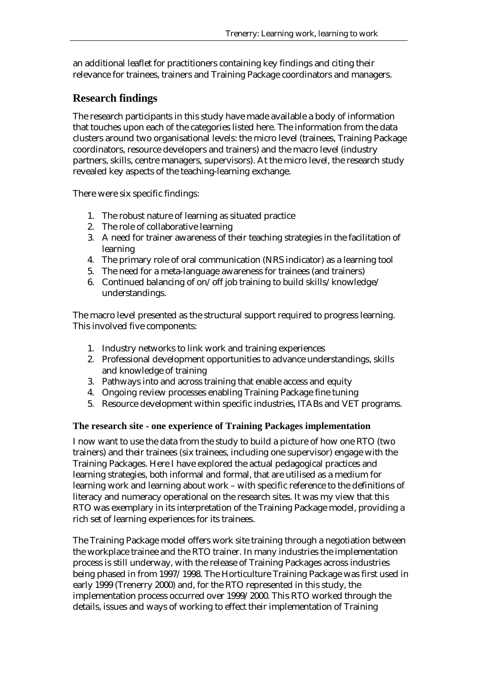an additional leaflet for practitioners containing key findings and citing their relevance for trainees, trainers and Training Package coordinators and managers.

# **Research findings**

The research participants in this study have made available a body of information that touches upon each of the categories listed here. The information from the data clusters around two organisational levels: the micro level (trainees, Training Package coordinators, resource developers and trainers) and the macro level (industry partners, skills, centre managers, supervisors). At the micro level, the research study revealed key aspects of the teaching-learning exchange.

There were six specific findings:

- 1. The robust nature of learning as situated practice
- 2. The role of collaborative learning
- 3. A need for trainer awareness of their teaching strategies in the facilitation of learning
- 4. The primary role of oral communication (NRS indicator) as a learning tool
- 5. The need for a meta-language awareness for trainees (and trainers)
- 6. Continued balancing of on/off job training to build skills/knowledge/ understandings.

The macro level presented as the structural support required to progress learning. This involved five components:

- 1. Industry networks to link work and training experiences
- 2. Professional development opportunities to advance understandings, skills and knowledge of training
- 3. Pathways into and across training that enable access and equity
- 4. Ongoing review processes enabling Training Package fine tuning
- 5. Resource development within specific industries, ITABs and VET programs.

## **The research site - one experience of Training Packages implementation**

I now want to use the data from the study to build a picture of how one RTO (two trainers) and their trainees (six trainees, including one supervisor) engage with the Training Packages. Here I have explored the actual pedagogical practices and learning strategies, both informal and formal, that are utilised as a medium for learning work and learning about work – with specific reference to the definitions of literacy and numeracy operational on the research sites. It was my view that this RTO was exemplary in its interpretation of the Training Package model, providing a rich set of learning experiences for its trainees.

The Training Package model offers work site training through a negotiation between the workplace trainee and the RTO trainer. In many industries the implementation process is still underway, with the release of Training Packages across industries being phased in from 1997/1998. The Horticulture Training Package was first used in early 1999 (Trenerry 2000) and, for the RTO represented in this study, the implementation process occurred over 1999/2000. This RTO worked through the details, issues and ways of working to effect their implementation of Training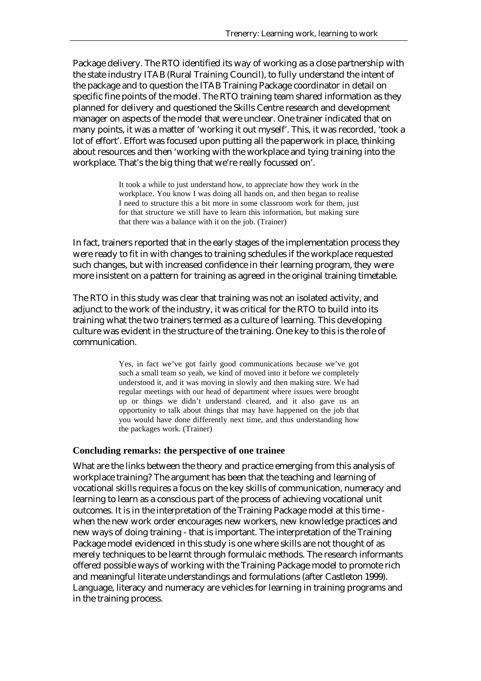Package delivery. The RTO identified its way of working as a close partnership with the state industry ITAB (Rural Training Council), to fully understand the intent of the package and to question the ITAB Training Package coordinator in detail on specific fine points of the model. The RTO training team shared information as they planned for delivery and questioned the Skills Centre research and development manager on aspects of the model that were unclear. One trainer indicated that on many points, it was a matter of 'working it out myself'. This, it was recorded, 'took a lot of effort'. Effort was focused upon putting all the paperwork in place, thinking about resources and then 'working with the workplace and tying training into the workplace. That's the big thing that we're really focussed on'.

> It took a while to just understand how, to appreciate how they work in the workplace. You know I was doing all hands on, and then began to realise I need to structure this a bit more in some classroom work for them, just for that structure we still have to learn this information, but making sure that there was a balance with it on the job. (Trainer)

In fact, trainers reported that in the early stages of the implementation process they were ready to fit in with changes to training schedules if the workplace requested such changes, but with increased confidence in their learning program, they were more insistent on a pattern for training as agreed in the original training timetable.

The RTO in this study was clear that training was not an isolated activity, and adjunct to the work of the industry, it was critical for the RTO to build into its training what the two trainers termed as a culture of learning. This developing culture was evident in the structure of the training. One key to this is the role of communication.

> Yes, in fact we've got fairly good communications because we've got such a small team so yeah, we kind of moved into it before we completely understood it, and it was moving in slowly and then making sure. We had regular meetings with our head of department where issues were brought up or things we didn't understand cleared, and it also gave us an opportunity to talk about things that may have happened on the job that you would have done differently next time, and thus understanding how the packages work. (Trainer)

### **Concluding remarks: the perspective of one trainee**

What are the links between the theory and practice emerging from this analysis of workplace training? The argument has been that the teaching and learning of vocational skills requires a focus on the key skills of communication, numeracy and learning to learn as a conscious part of the process of achieving vocational unit outcomes. It is in the interpretation of the Training Package model at this time when the new work order encourages new workers, new knowledge practices and new ways of doing training - that is important. The interpretation of the Training Package model evidenced in this study is one where skills are not thought of as merely techniques to be learnt through formulaic methods. The research informants offered possible ways of working with the Training Package model to promote rich and meaningful literate understandings and formulations (after Castleton 1999). Language, literacy and numeracy are vehicles for learning in training programs and in the training process.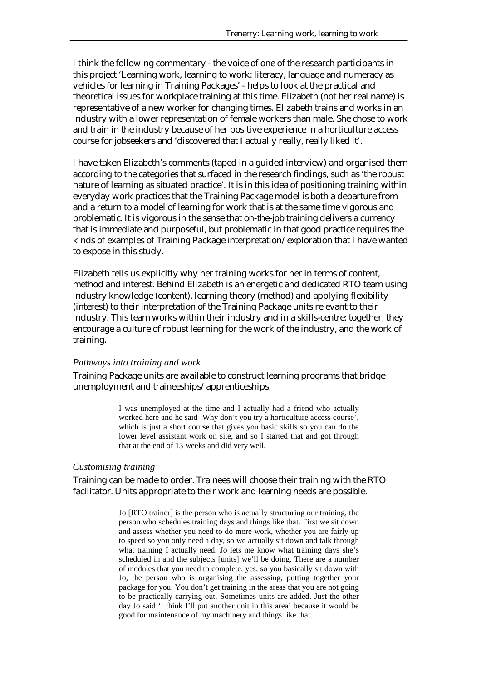I think the following commentary - the voice of one of the research participants in this project 'Learning work, learning to work: literacy, language and numeracy as vehicles for learning in Training Packages' - helps to look at the practical and theoretical issues for workplace training at this time. Elizabeth (not her real name) is representative of a new worker for changing times. Elizabeth trains and works in an industry with a lower representation of female workers than male. She chose to work and train in the industry because of her positive experience in a horticulture access course for jobseekers and 'discovered that I actually really, really liked it'.

I have taken Elizabeth's comments (taped in a guided interview) and organised them according to the categories that surfaced in the research findings, such as 'the robust nature of learning as situated practice'. It is in this idea of positioning training within everyday work practices that the Training Package model is both a departure from and a return to a model of learning for work that is at the same time vigorous and problematic. It is vigorous in the sense that on-the-job training delivers a currency that is immediate and purposeful, but problematic in that good practice requires the kinds of examples of Training Package interpretation/exploration that I have wanted to expose in this study.

Elizabeth tells us explicitly why her training works for her in terms of content, method and interest. Behind Elizabeth is an energetic and dedicated RTO team using industry knowledge (content), learning theory (method) and applying flexibility (interest) to their interpretation of the Training Package units relevant to their industry. This team works within their industry and in a skills-centre; together, they encourage a culture of robust learning for the work of the industry, and the work of training.

#### *Pathways into training and work*

Training Package units are available to construct learning programs that bridge unemployment and traineeships/apprenticeships.

> I was unemployed at the time and I actually had a friend who actually worked here and he said 'Why don't you try a horticulture access course', which is just a short course that gives you basic skills so you can do the lower level assistant work on site, and so I started that and got through that at the end of 13 weeks and did very well.

#### *Customising training*

Training can be made to order. Trainees will choose their training with the RTO facilitator. Units appropriate to their work and learning needs are possible.

> Jo [RTO trainer] is the person who is actually structuring our training, the person who schedules training days and things like that. First we sit down and assess whether you need to do more work, whether you are fairly up to speed so you only need a day, so we actually sit down and talk through what training I actually need. Jo lets me know what training days she's scheduled in and the subjects [units] we'll be doing. There are a number of modules that you need to complete, yes, so you basically sit down with Jo, the person who is organising the assessing, putting together your package for you. You don't get training in the areas that you are not going to be practically carrying out. Sometimes units are added. Just the other day Jo said 'I think I'll put another unit in this area' because it would be good for maintenance of my machinery and things like that.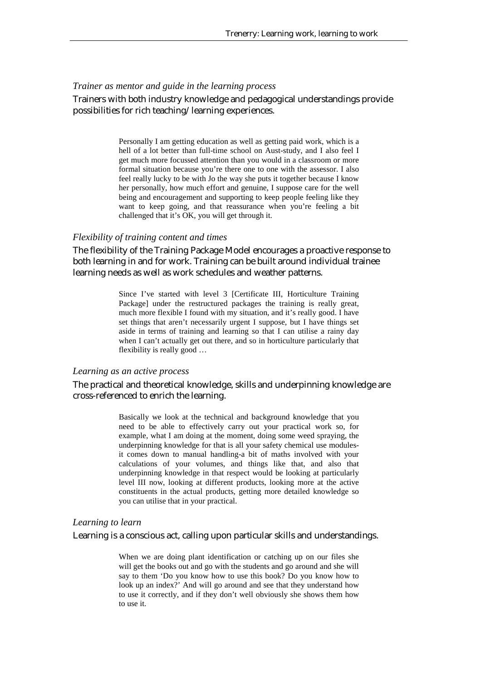### *Trainer as mentor and guide in the learning process*

### Trainers with both industry knowledge and pedagogical understandings provide possibilities for rich teaching/learning experiences.

Personally I am getting education as well as getting paid work, which is a hell of a lot better than full-time school on Aust-study, and I also feel I get much more focussed attention than you would in a classroom or more formal situation because you're there one to one with the assessor. I also feel really lucky to be with Jo the way she puts it together because I know her personally, how much effort and genuine, I suppose care for the well being and encouragement and supporting to keep people feeling like they want to keep going, and that reassurance when you're feeling a bit challenged that it's OK, you will get through it.

#### *Flexibility of training content and times*

The flexibility of the Training Package Model encourages a proactive response to both learning in and for work. Training can be built around individual trainee learning needs as well as work schedules and weather patterns.

> Since I've started with level 3 [Certificate III, Horticulture Training Package] under the restructured packages the training is really great, much more flexible I found with my situation, and it's really good. I have set things that aren't necessarily urgent I suppose, but I have things set aside in terms of training and learning so that I can utilise a rainy day when I can't actually get out there, and so in horticulture particularly that flexibility is really good …

#### *Learning as an active process*

### The practical and theoretical knowledge, skills and underpinning knowledge are cross-referenced to enrich the learning.

Basically we look at the technical and background knowledge that you need to be able to effectively carry out your practical work so, for example, what I am doing at the moment, doing some weed spraying, the underpinning knowledge for that is all your safety chemical use modulesit comes down to manual handling-a bit of maths involved with your calculations of your volumes, and things like that, and also that underpinning knowledge in that respect would be looking at particularly level III now, looking at different products, looking more at the active constituents in the actual products, getting more detailed knowledge so you can utilise that in your practical.

#### *Learning to learn*

#### Learning is a conscious act, calling upon particular skills and understandings.

When we are doing plant identification or catching up on our files she will get the books out and go with the students and go around and she will say to them 'Do you know how to use this book? Do you know how to look up an index?' And will go around and see that they understand how to use it correctly, and if they don't well obviously she shows them how to use it.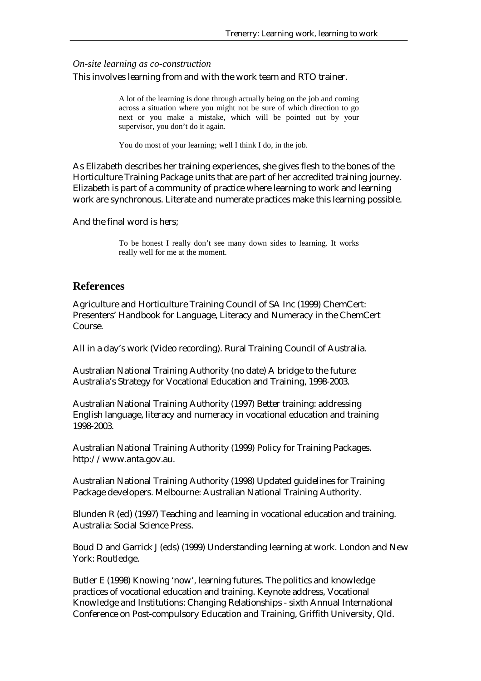#### *On-site learning as co-construction*

This involves learning from and with the work team and RTO trainer.

A lot of the learning is done through actually being on the job and coming across a situation where you might not be sure of which direction to go next or you make a mistake, which will be pointed out by your supervisor, you don't do it again.

You do most of your learning; well I think I do, in the job.

As Elizabeth describes her training experiences, she gives flesh to the bones of the Horticulture Training Package units that are part of her accredited training journey. Elizabeth is part of a community of practice where learning to work and learning work are synchronous. Literate and numerate practices make this learning possible.

And the final word is hers;

To be honest I really don't see many down sides to learning. It works really well for me at the moment.

### **References**

Agriculture and Horticulture Training Council of SA Inc (1999) ChemCert: Presenters' Handbook for Language, Literacy and Numeracy in the ChemCert Course.

All in a day's work (Video recording). Rural Training Council of Australia.

Australian National Training Authority (no date) A bridge to the future: Australia's Strategy for Vocational Education and Training, 1998-2003.

Australian National Training Authority (1997) Better training: addressing English language, literacy and numeracy in vocational education and training 1998-2003.

Australian National Training Authority (1999) Policy for Training Packages. http://www.anta.gov.au.

Australian National Training Authority (1998) Updated guidelines for Training Package developers. Melbourne: Australian National Training Authority.

Blunden R (ed) (1997) Teaching and learning in vocational education and training. Australia: Social Science Press.

Boud D and Garrick J (eds) (1999) Understanding learning at work. London and New York: Routledge.

Butler E (1998) Knowing 'now', learning futures. The politics and knowledge practices of vocational education and training. Keynote address, Vocational Knowledge and Institutions: Changing Relationships - sixth Annual International Conference on Post-compulsory Education and Training, Griffith University, Qld.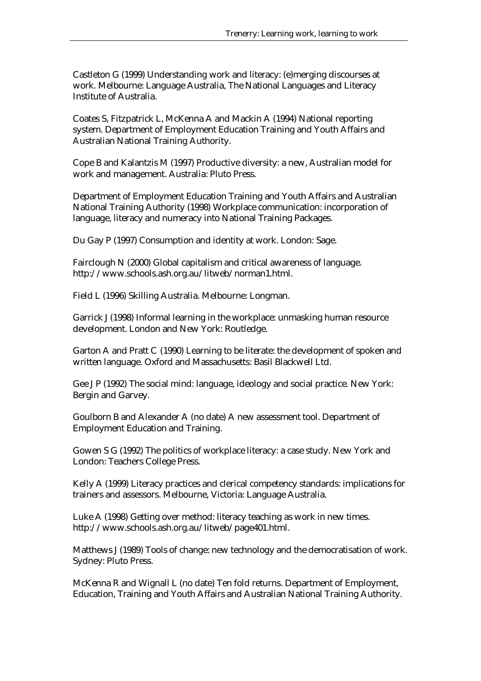Castleton G (1999) Understanding work and literacy: (e)merging discourses at work. Melbourne: Language Australia, The National Languages and Literacy Institute of Australia.

Coates S, Fitzpatrick L, McKenna A and Mackin A (1994) National reporting system. Department of Employment Education Training and Youth Affairs and Australian National Training Authority.

Cope B and Kalantzis M (1997) Productive diversity: a new, Australian model for work and management. Australia: Pluto Press.

Department of Employment Education Training and Youth Affairs and Australian National Training Authority (1998) Workplace communication: incorporation of language, literacy and numeracy into National Training Packages.

Du Gay P (1997) Consumption and identity at work. London: Sage.

Fairclough N (2000) Global capitalism and critical awareness of language. http://www.schools.ash.org.au/litweb/norman1.html.

Field L (1996) Skilling Australia. Melbourne: Longman.

Garrick J (1998) Informal learning in the workplace: unmasking human resource development. London and New York: Routledge.

Garton A and Pratt C (1990) Learning to be literate: the development of spoken and written language. Oxford and Massachusetts: Basil Blackwell Ltd.

Gee J P (1992) The social mind: language, ideology and social practice. New York: Bergin and Garvey.

Goulborn B and Alexander A (no date) A new assessment tool. Department of Employment Education and Training.

Gowen S G (1992) The politics of workplace literacy: a case study. New York and London: Teachers College Press.

Kelly A (1999) Literacy practices and clerical competency standards: implications for trainers and assessors. Melbourne, Victoria: Language Australia.

Luke A (1998) Getting over method: literacy teaching as work in new times. http://www.schools.ash.org.au/litweb/page401.html.

Matthews J (1989) Tools of change: new technology and the democratisation of work. Sydney: Pluto Press.

McKenna R and Wignall L (no date) Ten fold returns. Department of Employment, Education, Training and Youth Affairs and Australian National Training Authority.